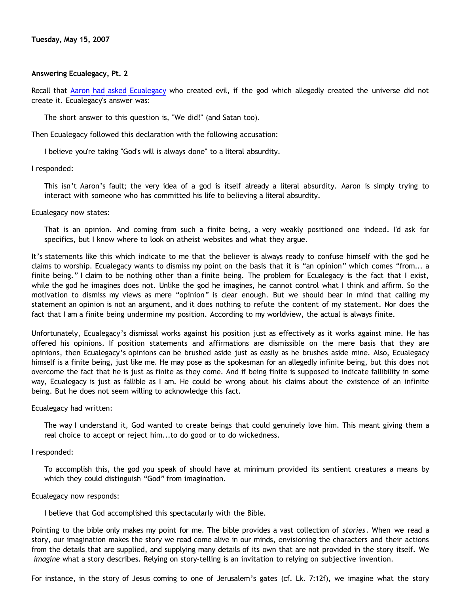## **Answering Ecualegacy, Pt. 2**

Recall that [Aaron had asked Ecualegacy](http://killtheafterlife.blogspot.com/2007/04/pat-tillman-and-christian-bigotry.html) who created evil, if the god which allegedly created the universe did not create it. Ecualegacy's answer was:

The short answer to this question is, "We did!" (and Satan too).

Then Ecualegacy followed this declaration with the following accusation:

I believe you're taking "God's will is always done" to a literal absurdity.

I responded:

This isn't Aaron's fault; the very idea of a god is itself already a literal absurdity. Aaron is simply trying to interact with someone who has committed his life to believing a literal absurdity.

Ecualegacy now states:

That is an opinion. And coming from such a finite being, a very weakly positioned one indeed. I'd ask for specifics, but I know where to look on atheist websites and what they argue.

It's statements like this which indicate to me that the believer is always ready to confuse himself with the god he claims to worship. Ecualegacy wants to dismiss my point on the basis that it is "an opinion" which comes "from... a finite being." I claim to be nothing other than a finite being. The problem for Ecualegacy is the fact that I exist, while the god he imagines does not. Unlike the god he imagines, he cannot control what I think and affirm. So the motivation to dismiss my views as mere "opinion" is clear enough. But we should bear in mind that calling my statement an opinion is not an argument, and it does nothing to refute the content of my statement. Nor does the fact that I am a finite being undermine my position. According to my worldview, the actual is always finite.

Unfortunately, Ecualegacy's dismissal works against his position just as effectively as it works against mine. He has offered his opinions. If position statements and affirmations are dismissible on the mere basis that they are opinions, then Ecualegacy's opinions can be brushed aside just as easily as he brushes aside mine. Also, Ecualegacy himself is a finite being, just like me. He may pose as the spokesman for an allegedly infinite being, but this does not overcome the fact that he is just as finite as they come. And if being finite is supposed to indicate fallibility in some way, Ecualegacy is just as fallible as I am. He could be wrong about his claims about the existence of an infinite being. But he does not seem willing to acknowledge this fact.

Ecualegacy had written:

The way I understand it, God wanted to create beings that could genuinely love him. This meant giving them a real choice to accept or reject him...to do good or to do wickedness.

I responded:

To accomplish this, the god you speak of should have at minimum provided its sentient creatures a means by which they could distinguish "God" from imagination.

### Ecualegacy now responds:

I believe that God accomplished this spectacularly with the Bible.

Pointing to the bible only makes my point for me. The bible provides a vast collection of *stories*. When we read a story, our imagination makes the story we read come alive in our minds, envisioning the characters and their actions from the details that are supplied, and supplying many details of its own that are not provided in the story itself. We *imagine* what a story describes. Relying on story-telling is an invitation to relying on subjective invention.

For instance, in the story of Jesus coming to one of Jerusalem's gates (cf. Lk. 7:12f), we imagine what the story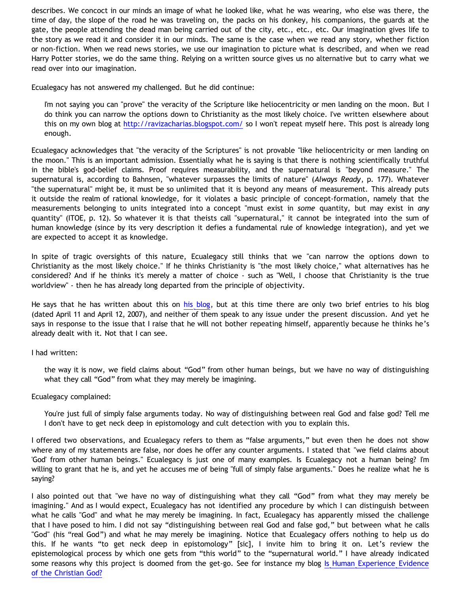describes. We concoct in our minds an image of what he looked like, what he was wearing, who else was there, the time of day, the slope of the road he was traveling on, the packs on his donkey, his companions, the guards at the gate, the people attending the dead man being carried out of the city, etc., etc., etc. Our imagination gives life to the story as we read it and consider it in our minds. The same is the case when we read any story, whether fiction or non-fiction. When we read news stories, we use our imagination to picture what is described, and when we read Harry Potter stories, we do the same thing. Relying on a written source gives us no alternative but to carry what we read over into our imagination.

Ecualegacy has not answered my challenged. But he did continue:

I'm not saying you can "prove" the veracity of the Scripture like heliocentricity or men landing on the moon. But I do think you can narrow the options down to Christianity as the most likely choice. I've written elsewhere about this on my own blog at <http://ravizacharias.blogspot.com/> so I won't repeat myself here. This post is already long enough.

Ecualegacy acknowledges that "the veracity of the Scriptures" is not provable "like heliocentricity or men landing on the moon." This is an important admission. Essentially what he is saying is that there is nothing scientifically truthful in the bible's god-belief claims. Proof requires measurability, and the supernatural is "beyond measure." The supernatural is, according to Bahnsen, "whatever surpasses the limits of nature" (*Always Ready*, p. 177). Whatever "the supernatural" might be, it must be so unlimited that it is beyond any means of measurement. This already puts it outside the realm of rational knowledge, for it violates a basic principle of concept-formation, namely that the measurements belonging to units integrated into a concept "must exist in *some* quantity, but may exist in *any* quantity" (ITOE, p. 12). So whatever it is that theists call "supernatural," it cannot be integrated into the sum of human knowledge (since by its very description it defies a fundamental rule of knowledge integration), and yet we are expected to accept it as knowledge.

In spite of tragic oversights of this nature, Ecualegacy still thinks that we "can narrow the options down to Christianity as the most likely choice." If he thinks Christianity is "the most likely choice," what alternatives has he considered? And if he thinks it's merely a matter of choice - such as "Well, I choose that Christianity is the true worldview" - then he has already long departed from the principle of objectivity.

He says that he has written about this on [his blog,](http://ravizacharias.blogspot.com/) but at this time there are only two brief entries to his blog (dated April 11 and April 12, 2007), and neither of them speak to any issue under the present discussion. And yet he says in response to the issue that I raise that he will not bother repeating himself, apparently because he thinks he's already dealt with it. Not that I can see.

## I had written:

the way it is now, we field claims about "God" from other human beings, but we have no way of distinguishing what they call "God" from what they may merely be imagining.

## Ecualegacy complained:

You're just full of simply false arguments today. No way of distinguishing between real God and false god? Tell me I don't have to get neck deep in epistomology and cult detection with you to explain this.

I offered two observations, and Ecualegacy refers to them as "false arguments," but even then he does not show where any of my statements are false, nor does he offer any counter arguments. I stated that "we field claims about 'God' from other human beings." Ecualegacy is just one of many examples. Is Ecualegacy not a human being? I'm willing to grant that he is, and yet he accuses me of being "full of simply false arguments." Does he realize what he is saying?

I also pointed out that "we have no way of distinguishing what they call "God" from what they may merely be imagining." And as I would expect, Ecualegacy has not identified any procedure by which I can distinguish between what he calls "God" and what he may merely be imagining. In fact, Ecualegacy has apparently missed the challenge that I have posed to him. I did not say "distinguishing between real God and false god," but between what he calls "God" (his "real God") and what he may merely be imagining. Notice that Ecualegacy offers nothing to help us do this. If he wants "to get neck deep in epistomology" [sic], I invite him to bring it on. Let's review the epistemological process by which one gets from "this world" to the "supernatural world." I have already indicated some reasons why this project is doomed from the get-go. See for instance my blog [Is Human Experience Evidence](http://bahnsenburner.blogspot.com/2005/06/is-human-experience-evidence-of.html) [of the Christian God?](http://bahnsenburner.blogspot.com/2005/06/is-human-experience-evidence-of.html)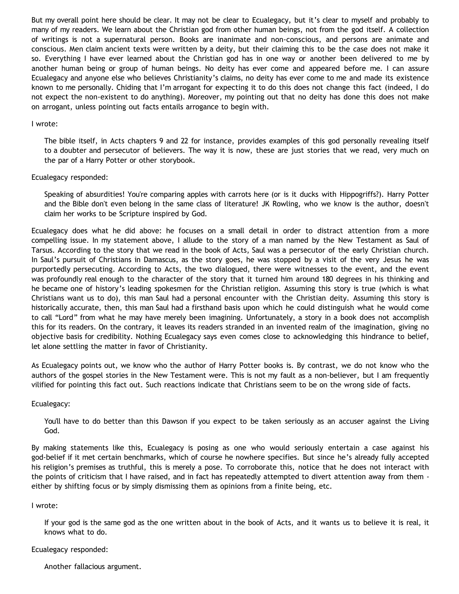But my overall point here should be clear. It may not be clear to Ecualegacy, but it's clear to myself and probably to many of my readers. We learn about the Christian god from other human beings, not from the god itself. A collection of writings is not a supernatural person. Books are inanimate and non-conscious, and persons are animate and conscious. Men claim ancient texts were written by a deity, but their claiming this to be the case does not make it so. Everything I have ever learned about the Christian god has in one way or another been delivered to me by another human being or group of human beings. No deity has ever come and appeared before me. I can assure Ecualegacy and anyone else who believes Christianity's claims, no deity has ever come to me and made its existence known to me personally. Chiding that I'm arrogant for expecting it to do this does not change this fact (indeed, I do not expect the non-existent to do anything). Moreover, my pointing out that no deity has done this does not make on arrogant, unless pointing out facts entails arrogance to begin with.

### I wrote:

The bible itself, in Acts chapters 9 and 22 for instance, provides examples of this god personally revealing itself to a doubter and persecutor of believers. The way it is now, these are just stories that we read, very much on the par of a Harry Potter or other storybook.

### Ecualegacy responded:

Speaking of absurdities! You're comparing apples with carrots here (or is it ducks with Hippogriffs?). Harry Potter and the Bible don't even belong in the same class of literature! JK Rowling, who we know is the author, doesn't claim her works to be Scripture inspired by God.

Ecualegacy does what he did above: he focuses on a small detail in order to distract attention from a more compelling issue. In my statement above, I allude to the story of a man named by the New Testament as Saul of Tarsus. According to the story that we read in the book of Acts, Saul was a persecutor of the early Christian church. In Saul's pursuit of Christians in Damascus, as the story goes, he was stopped by a visit of the very Jesus he was purportedly persecuting. According to Acts, the two dialogued, there were witnesses to the event, and the event was profoundly real enough to the character of the story that it turned him around 180 degrees in his thinking and he became one of history's leading spokesmen for the Christian religion. Assuming this story is true (which is what Christians want us to do), this man Saul had a personal encounter with the Christian deity. Assuming this story is historically accurate, then, this man Saul had a firsthand basis upon which he could distinguish what he would come to call "Lord" from what he may have merely been imagining. Unfortunately, a story in a book does not accomplish this for its readers. On the contrary, it leaves its readers stranded in an invented realm of the imagination, giving no objective basis for credibility. Nothing Ecualegacy says even comes close to acknowledging this hindrance to belief, let alone settling the matter in favor of Christianity.

As Ecualegacy points out, we know who the author of Harry Potter books is. By contrast, we do not know who the authors of the gospel stories in the New Testament were. This is not my fault as a non-believer, but I am frequently vilified for pointing this fact out. Such reactions indicate that Christians seem to be on the wrong side of facts.

## Ecualegacy:

You'll have to do better than this Dawson if you expect to be taken seriously as an accuser against the Living God.

By making statements like this, Ecualegacy is posing as one who would seriously entertain a case against his god-belief if it met certain benchmarks, which of course he nowhere specifies. But since he's already fully accepted his religion's premises as truthful, this is merely a pose. To corroborate this, notice that he does not interact with the points of criticism that I have raised, and in fact has repeatedly attempted to divert attention away from them either by shifting focus or by simply dismissing them as opinions from a finite being, etc.

#### I wrote:

If your god is the same god as the one written about in the book of Acts, and it wants us to believe it is real, it knows what to do.

#### Ecualegacy responded:

Another fallacious argument.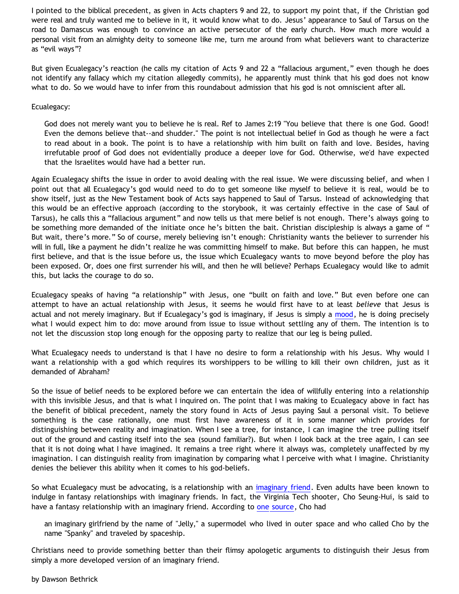I pointed to the biblical precedent, as given in Acts chapters 9 and 22, to support my point that, if the Christian god were real and truly wanted me to believe in it, it would know what to do. Jesus' appearance to Saul of Tarsus on the road to Damascus was enough to convince an active persecutor of the early church. How much more would a personal visit from an almighty deity to someone like me, turn me around from what believers want to characterize as "evil ways"?

But given Ecualegacy's reaction (he calls my citation of Acts 9 and 22 a "fallacious argument," even though he does not identify any fallacy which my citation allegedly commits), he apparently must think that his god does not know what to do. So we would have to infer from this roundabout admission that his god is not omniscient after all.

## Ecualegacy:

God does not merely want you to believe he is real. Ref to James 2:19 "You believe that there is one God. Good! Even the demons believe that--and shudder." The point is not intellectual belief in God as though he were a fact to read about in a book. The point is to have a relationship with him built on faith and love. Besides, having irrefutable proof of God does not evidentially produce a deeper love for God. Otherwise, we'd have expected that the Israelites would have had a better run.

Again Ecualegacy shifts the issue in order to avoid dealing with the real issue. We were discussing belief, and when I point out that all Ecualegacy's god would need to do to get someone like myself to believe it is real, would be to show itself, just as the New Testament book of Acts says happened to Saul of Tarsus. Instead of acknowledging that this would be an effective approach (according to the storybook, it was certainly effective in the case of Saul of Tarsus), he calls this a "fallacious argument" and now tells us that mere belief is not enough. There's always going to be something more demanded of the initiate once he's bitten the bait. Christian discipleship is always a game of " But wait, there's more." So of course, merely believing isn't enough: Christianity wants the believer to surrender his will in full, like a payment he didn't realize he was committing himself to make. But before this can happen, he must first believe, and that is the issue before us, the issue which Ecualegacy wants to move beyond before the ploy has been exposed. Or, does one first surrender his will, and then he will believe? Perhaps Ecualegacy would like to admit this, but lacks the courage to do so.

Ecualegacy speaks of having "a relationship" with Jesus, one "built on faith and love." But even before one can attempt to have an actual relationship with Jesus, it seems he would first have to at least *believe* that Jesus is actual and not merely imaginary. But if Ecualegacy's god is imaginary, if Jesus is simply a [mood,](http://bahnsenburner.blogspot.com/2006/06/carr-vs-cole.html) he is doing precisely what I would expect him to do: move around from issue to issue without settling any of them. The intention is to not let the discussion stop long enough for the opposing party to realize that our leg is being pulled.

What Ecualegacy needs to understand is that I have no desire to form a relationship with his Jesus. Why would I want a relationship with a god which requires its worshippers to be willing to kill their own children, just as it demanded of Abraham?

So the issue of belief needs to be explored before we can entertain the idea of willfully entering into a relationship with this invisible Jesus, and that is what I inquired on. The point that I was making to Ecualegacy above in fact has the benefit of biblical precedent, namely the story found in Acts of Jesus paying Saul a personal visit. To believe something is the case rationally, one must first have awareness of it in some manner which provides for distinguishing between reality and imagination. When I see a tree, for instance, I can imagine the tree pulling itself out of the ground and casting itself into the sea (sound familiar?). But when I look back at the tree again, I can see that it is not doing what I have imagined. It remains a tree right where it always was, completely unaffected by my imagination. I can distinguish reality from imagination by comparing what I perceive with what I imagine. Christianity denies the believer this ability when it comes to his god-beliefs.

So what Ecualegacy must be advocating, is a relationship with an [imaginary friend.](http://bahnsenburner.blogspot.com/2006/08/christianity-imaginary-friends-network.html) Even adults have been known to indulge in fantasy relationships with imaginary friends. In fact, the Virginia Tech shooter, Cho Seung-Hui, is said to have a fantasy relationship with an imaginary friend. According to [one source,](http://en.wikipedia.org/wiki/Cho_seung_hui) Cho had

an imaginary girlfriend by the name of "Jelly," a supermodel who lived in outer space and who called Cho by the name "Spanky" and traveled by spaceship.

Christians need to provide something better than their flimsy apologetic arguments to distinguish their Jesus from simply a more developed version of an imaginary friend.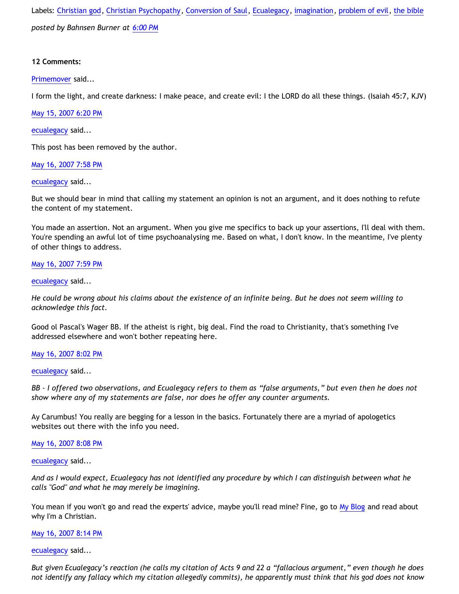Labels: [Christian god](http://bahnsenburner.blogspot.com/search/label/Christian%20god), [Christian Psychopathy,](http://bahnsenburner.blogspot.com/search/label/Christian%20Psychopathy) [Conversion of Saul,](http://bahnsenburner.blogspot.com/search/label/Conversion%20of%20Saul) [Ecualegacy](http://bahnsenburner.blogspot.com/search/label/Ecualegacy), [imagination,](http://bahnsenburner.blogspot.com/search/label/imagination) [problem of evil,](http://bahnsenburner.blogspot.com/search/label/problem%20of%20evil) [the bible](http://bahnsenburner.blogspot.com/search/label/the%20bible) *posted by Bahnsen Burner at [6:00 PM](http://bahnsenburner.blogspot.com/2007/05/answering-ecualegacy-pt-2.html)*

# **12 Comments:**

[Primemover](http://www.blogger.com/profile/05227097856251102680) said...

I form the light, and create darkness: I make peace, and create evil: I the LORD do all these things. (Isaiah 45:7, KJV)

[May 15, 2007 6:20 PM](http://bahnsenburner.blogspot.com/2007/05/6281371668282155091)

[ecualegacy](http://www.blogger.com/profile/10977314467663690784) said...

This post has been removed by the author.

[May 16, 2007 7:58 PM](http://bahnsenburner.blogspot.com/2007/05/4405683661283276721)

[ecualegacy](http://www.blogger.com/profile/10977314467663690784) said...

But we should bear in mind that calling my statement an opinion is not an argument, and it does nothing to refute the content of my statement.

You made an assertion. Not an argument. When you give me specifics to back up your assertions, I'll deal with them. You're spending an awful lot of time psychoanalysing me. Based on what, I don't know. In the meantime, I've plenty of other things to address.

# [May 16, 2007 7:59 PM](http://bahnsenburner.blogspot.com/2007/05/3441264098585289880)

[ecualegacy](http://www.blogger.com/profile/10977314467663690784) said...

*He could be wrong about his claims about the existence of an infinite being. But he does not seem willing to acknowledge this fact.*

Good ol Pascal's Wager BB. If the atheist is right, big deal. Find the road to Christianity, that's something I've addressed elsewhere and won't bother repeating here.

## [May 16, 2007 8:02 PM](http://bahnsenburner.blogspot.com/2007/05/6672264154575945274)

[ecualegacy](http://www.blogger.com/profile/10977314467663690784) said...

*BB - I offered two observations, and Ecualegacy refers to them as "false arguments," but even then he does not show where any of my statements are false, nor does he offer any counter arguments.* 

Ay Carumbus! You really are begging for a lesson in the basics. Fortunately there are a myriad of apologetics websites out there with the info you need.

# [May 16, 2007 8:08 PM](http://bahnsenburner.blogspot.com/2007/05/3253199006747780596)

[ecualegacy](http://www.blogger.com/profile/10977314467663690784) said...

*And as I would expect, Ecualegacy has not identified any procedure by which I can distinguish between what he calls "God" and what he may merely be imagining.* 

You mean if you won't go and read the experts' advice, maybe you'll read mine? Fine, go to [My Blog](http://ravizacharias.blogspot.com) and read about why I'm a Christian.

## [May 16, 2007 8:14 PM](http://bahnsenburner.blogspot.com/2007/05/4852752721775548100)

[ecualegacy](http://www.blogger.com/profile/10977314467663690784) said...

*But given Ecualegacy's reaction (he calls my citation of Acts 9 and 22 a "fallacious argument," even though he does not identify any fallacy which my citation allegedly commits), he apparently must think that his god does not know*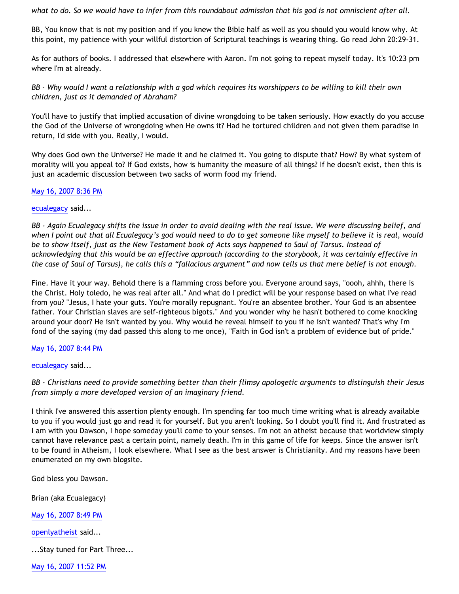*what to do. So we would have to infer from this roundabout admission that his god is not omniscient after all.*

BB, You know that is not my position and if you knew the Bible half as well as you should you would know why. At this point, my patience with your willful distortion of Scriptural teachings is wearing thing. Go read John 20:29-31.

As for authors of books. I addressed that elsewhere with Aaron. I'm not going to repeat myself today. It's 10:23 pm where I'm at already.

*BB - Why would I want a relationship with a god which requires its worshippers to be willing to kill their own children, just as it demanded of Abraham?*

You'll have to justify that implied accusation of divine wrongdoing to be taken seriously. How exactly do you accuse the God of the Universe of wrongdoing when He owns it? Had he tortured children and not given them paradise in return, I'd side with you. Really, I would.

Why does God own the Universe? He made it and he claimed it. You going to dispute that? How? By what system of morality will you appeal to? If God exists, how is humanity the measure of all things? If he doesn't exist, then this is just an academic discussion between two sacks of worm food my friend.

[May 16, 2007 8:36 PM](http://bahnsenburner.blogspot.com/2007/05/5394916841104611702)

[ecualegacy](http://www.blogger.com/profile/10977314467663690784) said...

*BB - Again Ecualegacy shifts the issue in order to avoid dealing with the real issue. We were discussing belief, and when I point out that all Ecualegacy's god would need to do to get someone like myself to believe it is real, would be to show itself, just as the New Testament book of Acts says happened to Saul of Tarsus. Instead of acknowledging that this would be an effective approach (according to the storybook, it was certainly effective in the case of Saul of Tarsus), he calls this a "fallacious argument" and now tells us that mere belief is not enough.* 

Fine. Have it your way. Behold there is a flamming cross before you. Everyone around says, "oooh, ahhh, there is the Christ. Holy toledo, he was real after all." And what do I predict will be your response based on what I've read from you? "Jesus, I hate your guts. You're morally repugnant. You're an absentee brother. Your God is an absentee father. Your Christian slaves are self-righteous bigots." And you wonder why he hasn't bothered to come knocking around your door? He isn't wanted by you. Why would he reveal himself to you if he isn't wanted? That's why I'm fond of the saying (my dad passed this along to me once), "Faith in God isn't a problem of evidence but of pride."

[May 16, 2007 8:44 PM](http://bahnsenburner.blogspot.com/2007/05/4543714551183926178)

[ecualegacy](http://www.blogger.com/profile/10977314467663690784) said...

*BB - Christians need to provide something better than their flimsy apologetic arguments to distinguish their Jesus from simply a more developed version of an imaginary friend.*

I think I've answered this assertion plenty enough. I'm spending far too much time writing what is already available to you if you would just go and read it for yourself. But you aren't looking. So I doubt you'll find it. And frustrated as I am with you Dawson, I hope someday you'll come to your senses. I'm not an atheist because that worldview simply cannot have relevance past a certain point, namely death. I'm in this game of life for keeps. Since the answer isn't to be found in Atheism, I look elsewhere. What I see as the best answer is Christianity. And my reasons have been enumerated on my own blogsite.

God bless you Dawson.

Brian (aka Ecualegacy)

[May 16, 2007 8:49 PM](http://bahnsenburner.blogspot.com/2007/05/4598186239432721644)

[openlyatheist](http://www.blogger.com/profile/03799132607816184980) said...

...Stay tuned for Part Three...

[May 16, 2007 11:52 PM](http://bahnsenburner.blogspot.com/2007/05/5634387351421524952)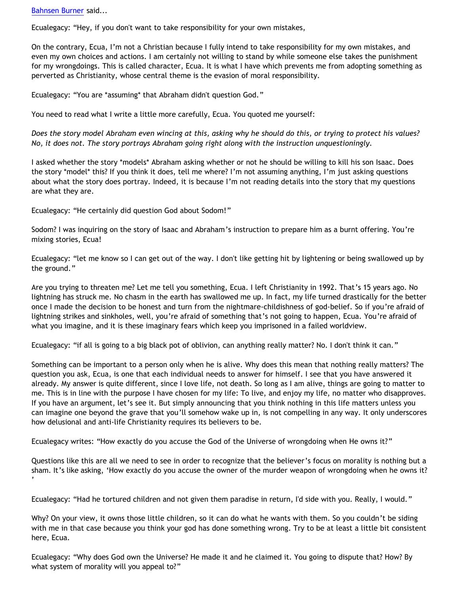[Bahnsen Burner](http://www.blogger.com/profile/11030029491768748360) said...

Ecualegacy: "Hey, if you don't want to take responsibility for your own mistakes,

On the contrary, Ecua, I'm not a Christian because I fully intend to take responsibility for my own mistakes, and even my own choices and actions. I am certainly not willing to stand by while someone else takes the punishment for my wrongdoings. This is called character, Ecua. It is what I have which prevents me from adopting something as perverted as Christianity, whose central theme is the evasion of moral responsibility.

Ecualegacy: "You are \*assuming\* that Abraham didn't question God."

You need to read what I write a little more carefully, Ecua. You quoted me yourself:

*Does the story model Abraham even wincing at this, asking why he should do this, or trying to protect his values? No, it does not. The story portrays Abraham going right along with the instruction unquestioningly.*

I asked whether the story \*models\* Abraham asking whether or not he should be willing to kill his son Isaac. Does the story \*model\* this? If you think it does, tell me where? I'm not assuming anything, I'm just asking questions about what the story does portray. Indeed, it is because I'm not reading details into the story that my questions are what they are.

Ecualegacy: "He certainly did question God about Sodom!"

Sodom? I was inquiring on the story of Isaac and Abraham's instruction to prepare him as a burnt offering. You're mixing stories, Ecua!

Ecualegacy: "let me know so I can get out of the way. I don't like getting hit by lightening or being swallowed up by the ground."

Are you trying to threaten me? Let me tell you something, Ecua. I left Christianity in 1992. That's 15 years ago. No lightning has struck me. No chasm in the earth has swallowed me up. In fact, my life turned drastically for the better once I made the decision to be honest and turn from the nightmare-childishness of god-belief. So if you're afraid of lightning strikes and sinkholes, well, you're afraid of something that's not going to happen, Ecua. You're afraid of what you imagine, and it is these imaginary fears which keep you imprisoned in a failed worldview.

Ecualegacy: "if all is going to a big black pot of oblivion, can anything really matter? No. I don't think it can."

Something can be important to a person only when he is alive. Why does this mean that nothing really matters? The question you ask, Ecua, is one that each individual needs to answer for himself. I see that you have answered it already. My answer is quite different, since I love life, not death. So long as I am alive, things are going to matter to me. This is in line with the purpose I have chosen for my life: To live, and enjoy my life, no matter who disapproves. If you have an argument, let's see it. But simply announcing that you think nothing in this life matters unless you can imagine one beyond the grave that you'll somehow wake up in, is not compelling in any way. It only underscores how delusional and anti-life Christianity requires its believers to be.

Ecualegacy writes: "How exactly do you accuse the God of the Universe of wrongdoing when He owns it?"

Questions like this are all we need to see in order to recognize that the believer's focus on morality is nothing but a sham. It's like asking, 'How exactly do you accuse the owner of the murder weapon of wrongdoing when he owns it? '

Ecualegacy: "Had he tortured children and not given them paradise in return, I'd side with you. Really, I would."

Why? On your view, it owns those little children, so it can do what he wants with them. So you couldn't be siding with me in that case because you think your god has done something wrong. Try to be at least a little bit consistent here, Ecua.

Ecualegacy: "Why does God own the Universe? He made it and he claimed it. You going to dispute that? How? By what system of morality will you appeal to?"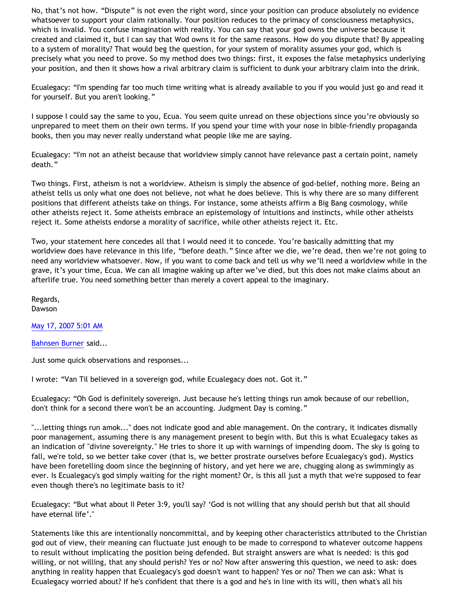No, that's not how. "Dispute" is not even the right word, since your position can produce absolutely no evidence whatsoever to support your claim rationally. Your position reduces to the primacy of consciousness metaphysics, which is invalid. You confuse imagination with reality. You can say that your god owns the universe because it created and claimed it, but I can say that Wod owns it for the same reasons. How do you dispute that? By appealing to a system of morality? That would beg the question, for your system of morality assumes your god, which is precisely what you need to prove. So my method does two things: first, it exposes the false metaphysics underlying your position, and then it shows how a rival arbitrary claim is sufficient to dunk your arbitrary claim into the drink.

Ecualegacy: "I'm spending far too much time writing what is already available to you if you would just go and read it for yourself. But you aren't looking."

I suppose I could say the same to you, Ecua. You seem quite unread on these objections since you're obviously so unprepared to meet them on their own terms. If you spend your time with your nose in bible-friendly propaganda books, then you may never really understand what people like me are saying.

Ecualegacy: "I'm not an atheist because that worldview simply cannot have relevance past a certain point, namely death."

Two things. First, atheism is not a worldview. Atheism is simply the absence of god-belief, nothing more. Being an atheist tells us only what one does not believe, not what he does believe. This is why there are so many different positions that different atheists take on things. For instance, some atheists affirm a Big Bang cosmology, while other atheists reject it. Some atheists embrace an epistemology of intuitions and instincts, while other atheists reject it. Some atheists endorse a morality of sacrifice, while other atheists reject it. Etc.

Two, your statement here concedes all that I would need it to concede. You're basically admitting that my worldview does have relevance in this life, "before death." Since after we die, we're dead, then we're not going to need any worldview whatsoever. Now, if you want to come back and tell us why we'll need a worldview while in the grave, it's your time, Ecua. We can all imagine waking up after we've died, but this does not make claims about an afterlife true. You need something better than merely a covert appeal to the imaginary.

Regards, Dawson

[May 17, 2007 5:01 AM](http://bahnsenburner.blogspot.com/2007/05/7581822199546518826)

[Bahnsen Burner](http://www.blogger.com/profile/11030029491768748360) said...

Just some quick observations and responses...

I wrote: "Van Til believed in a sovereign god, while Ecualegacy does not. Got it."

Ecualegacy: "Oh God is definitely sovereign. Just because he's letting things run amok because of our rebellion, don't think for a second there won't be an accounting. Judgment Day is coming."

"...letting things run amok..." does not indicate good and able management. On the contrary, it indicates dismally poor management, assuming there is any management present to begin with. But this is what Ecualegacy takes as an indication of "divine sovereignty." He tries to shore it up with warnings of impending doom. The sky is going to fall, we're told, so we better take cover (that is, we better prostrate ourselves before Ecualegacy's god). Mystics have been foretelling doom since the beginning of history, and yet here we are, chugging along as swimmingly as ever. Is Ecualegacy's god simply waiting for the right moment? Or, is this all just a myth that we're supposed to fear even though there's no legitimate basis to it?

Ecualegacy: "But what about II Peter 3:9, you'll say? 'God is not willing that any should perish but that all should have eternal life'."

Statements like this are intentionally noncommittal, and by keeping other characteristics attributed to the Christian god out of view, their meaning can fluctuate just enough to be made to correspond to whatever outcome happens to result without implicating the position being defended. But straight answers are what is needed: is this god willing, or not willing, that any should perish? Yes or no? Now after answering this question, we need to ask: does anything in reality happen that Ecualegacy's god doesn't want to happen? Yes or no? Then we can ask: What is Ecualegacy worried about? If he's confident that there is a god and he's in line with its will, then what's all his